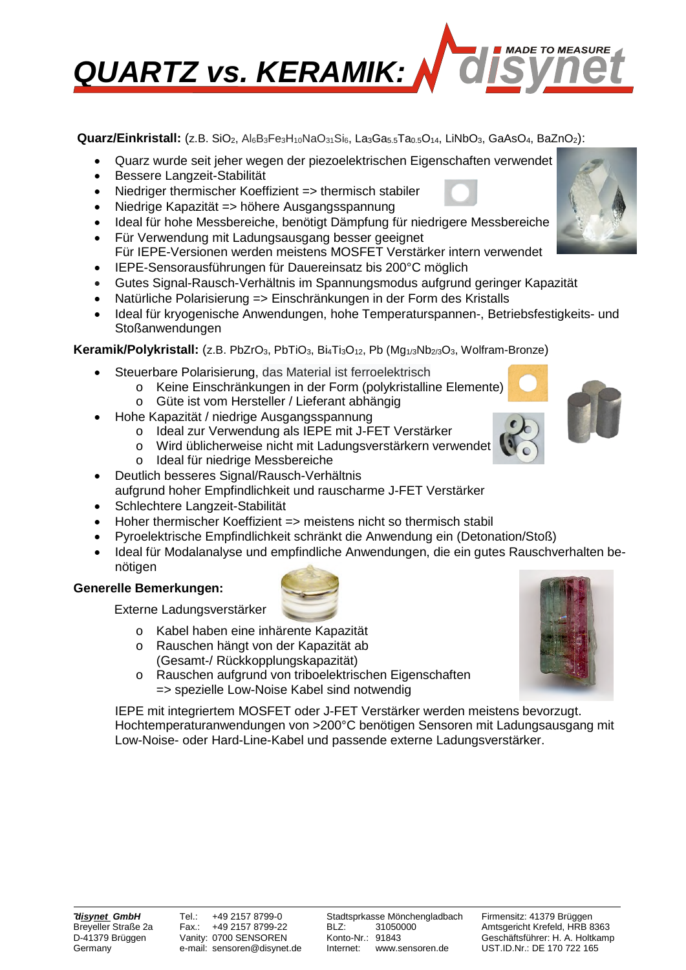

 **Quarz/Einkristall:** (z.B. SiO2, Al6B3Fe3H10NaO31Si6, La3Ga5.5Ta0.5O14, LiNbO3, GaAsO4, BaZnO2):

- Quarz wurde seit jeher wegen der piezoelektrischen Eigenschaften verwendet
- Bessere Langzeit-Stabilität
- Niedriger thermischer Koeffizient => thermisch stabiler
- Niedrige Kapazität => höhere Ausgangsspannung
- Ideal für hohe Messbereiche, benötigt Dämpfung für niedrigere Messbereiche
- Für Verwendung mit Ladungsausgang besser geeignet Für IEPE-Versionen werden meistens MOSFET Verstärker intern verwendet
- IEPE-Sensorausführungen für Dauereinsatz bis 200°C möglich
- Gutes Signal-Rausch-Verhältnis im Spannungsmodus aufgrund geringer Kapazität
- Natürliche Polarisierung => Einschränkungen in der Form des Kristalls
- Ideal für kryogenische Anwendungen, hohe Temperaturspannen-, Betriebsfestigkeits- und Stoßanwendungen

## **Keramik/Polykristall:** (z.B. PbZrO<sub>3</sub>, PbTiO<sub>3</sub>, Bi<sub>4</sub>Ti<sub>3</sub>O<sub>12</sub>, Pb (Mg<sub>1/3</sub>Nb<sub>2/3</sub>O<sub>3</sub>, Wolfram-Bronze)

- Steuerbare Polarisierung, das Material ist ferroelektrisch
	- o Keine Einschränkungen in der Form (polykristalline Elemente) o Güte ist vom Hersteller / Lieferant abhängig
- Hohe Kapazität / niedrige Ausgangsspannung
	- o Ideal zur Verwendung als IEPE mit J-FET Verstärker
	- o Wird üblicherweise nicht mit Ladungsverstärkern verwendet
	- o Ideal für niedrige Messbereiche
- Deutlich besseres Signal/Rausch-Verhältnis aufgrund hoher Empfindlichkeit und rauscharme J-FET Verstärker
- Schlechtere Langzeit-Stabilität
- Hoher thermischer Koeffizient => meistens nicht so thermisch stabil
- Pyroelektrische Empfindlichkeit schränkt die Anwendung ein (Detonation/Stoß)
- Ideal für Modalanalyse und empfindliche Anwendungen, die ein gutes Rauschverhalten benötigen

### **Generelle Bemerkungen:**

Externe Ladungsverstärker

- o Kabel haben eine inhärente Kapazität
- o Rauschen hängt von der Kapazität ab (Gesamt-/ Rückkopplungskapazität)
- o Rauschen aufgrund von triboelektrischen Eigenschaften => spezielle Low-Noise Kabel sind notwendig

IEPE mit integriertem MOSFET oder J-FET Verstärker werden meistens bevorzugt. Hochtemperaturanwendungen von >200°C benötigen Sensoren mit Ladungsausgang mit Low-Noise- oder Hard-Line-Kabel und passende externe Ladungsverstärker.